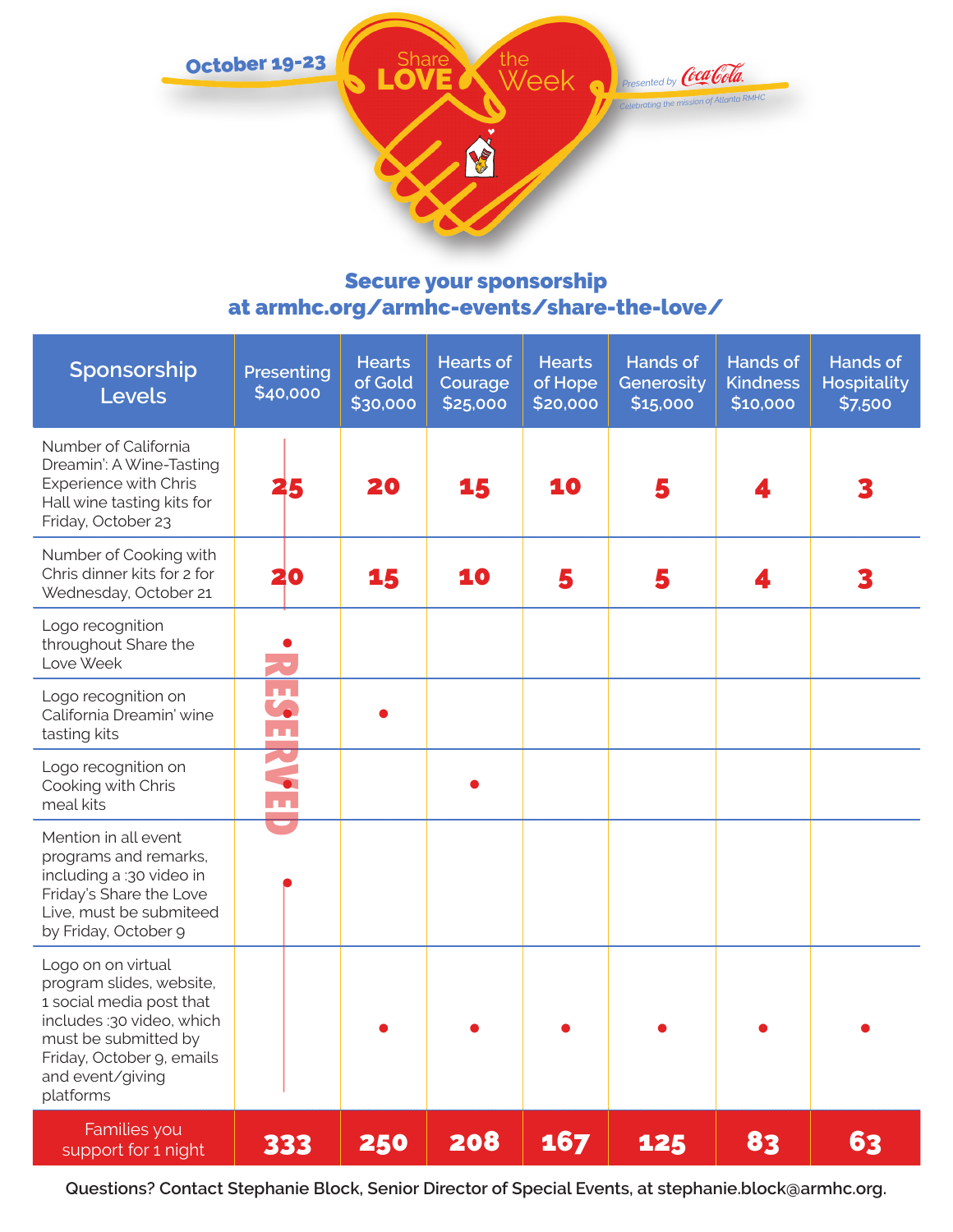

## Secure your sponsorship at armhc.org/armhc-events/share-the-love/

| Sponsorship<br><b>Levels</b>                                                                                                                                                                  | Presenting<br>\$40,000 | <b>Hearts</b><br>of Gold<br>\$30,000 | <b>Hearts of</b><br>Courage<br>\$25,000 | <b>Hearts</b><br>of Hope<br>\$20,000 | <b>Hands of</b><br>Generosity<br>\$15,000 | <b>Hands of</b><br><b>Kindness</b><br>\$10,000 | <b>Hands of</b><br><b>Hospitality</b><br>\$7,500 |
|-----------------------------------------------------------------------------------------------------------------------------------------------------------------------------------------------|------------------------|--------------------------------------|-----------------------------------------|--------------------------------------|-------------------------------------------|------------------------------------------------|--------------------------------------------------|
| Number of California<br>Dreamin': A Wine-Tasting<br><b>Experience with Chris</b><br>Hall wine tasting kits for<br>Friday, October 23                                                          | 25                     | 20                                   | 15                                      | 10                                   | 5                                         |                                                |                                                  |
| Number of Cooking with<br>Chris dinner kits for 2 for<br>Wednesday, October 21                                                                                                                | 20                     | 15                                   | 10                                      | 5                                    | 5                                         |                                                |                                                  |
| Logo recognition<br>throughout Share the<br>Love Week                                                                                                                                         |                        |                                      |                                         |                                      |                                           |                                                |                                                  |
| Logo recognition on<br>California Dreamin' wine<br>tasting kits                                                                                                                               | $\mathbf{L}$<br>īл.    |                                      |                                         |                                      |                                           |                                                |                                                  |
| Logo recognition on<br>Cooking with Chris<br>meal kits                                                                                                                                        | 79                     |                                      |                                         |                                      |                                           |                                                |                                                  |
| Mention in all event<br>programs and remarks,<br>including a :30 video in<br>Friday's Share the Love<br>Live, must be submiteed<br>by Friday, October 9                                       |                        |                                      |                                         |                                      |                                           |                                                |                                                  |
| Logo on on virtual<br>program slides, website,<br>1 social media post that<br>includes :30 video, which<br>must be submitted by<br>Friday, October 9, emails<br>and event/giving<br>platforms |                        |                                      |                                         |                                      |                                           |                                                |                                                  |
| Families you<br>support for 1 night                                                                                                                                                           | 333                    | 250                                  | 208                                     | 167                                  | 125                                       | 83                                             | 63                                               |

**Questions? Contact Stephanie Block, Senior Director of Special Events, at stephanie.block@armhc.org.**